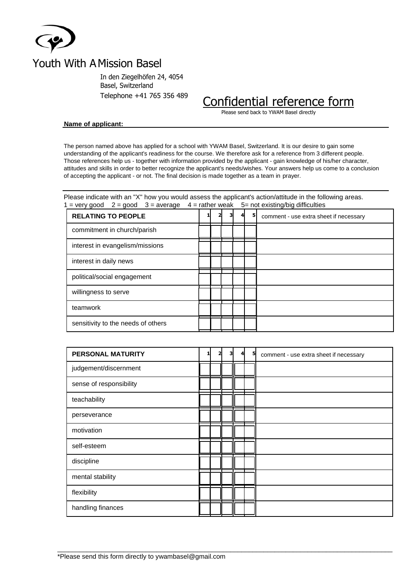

## Youth With A Mission Basel

In den Ziegelhöfen 24, 4054 Basel, Switzerland

# Telephone +41 765 356 489 Confidential reference form

Please send back to YWAM Basel directly

#### **Name of applicant:**

The person named above has applied for a school with YWAM Basel, Switzerland. It is our desire to gain some understanding of the applicant's readiness for the course. We therefore ask for a reference from 3 different people. Those references help us - together with information provided by the applicant - gain knowledge of his/her character, attitudes and skills in order to better recognize the applicant's needs/wishes. Your answers help us come to a conclusion of accepting the applicant - or not. The final decision is made together as a team in prayer.

Please indicate with an "X" how you would assess the applicant's action/attitude in the following areas. 1 = very good  $2 =$  good  $3 =$  average 4 = rather weak  $5 =$  not existing/big difficulties

| <b>RELATING TO PEOPLE</b>          |  |  | 51 | comment - use extra sheet if necessary |
|------------------------------------|--|--|----|----------------------------------------|
| commitment in church/parish        |  |  |    |                                        |
| interest in evangelism/missions    |  |  |    |                                        |
| interest in daily news             |  |  |    |                                        |
| political/social engagement        |  |  |    |                                        |
| willingness to serve               |  |  |    |                                        |
| teamwork                           |  |  |    |                                        |
| sensitivity to the needs of others |  |  |    |                                        |

| <b>PERSONAL MATURITY</b> | 2 | з | 5 | comment - use extra sheet if necessary |
|--------------------------|---|---|---|----------------------------------------|
| judgement/discernment    |   |   |   |                                        |
| sense of responsibility  |   |   |   |                                        |
| teachability             |   |   |   |                                        |
| perseverance             |   |   |   |                                        |
| motivation               |   |   |   |                                        |
| self-esteem              |   |   |   |                                        |
| discipline               |   |   |   |                                        |
| mental stability         |   |   |   |                                        |
| flexibility              |   |   |   |                                        |
| handling finances        |   |   |   |                                        |

 $\_$  ,  $\_$  ,  $\_$  ,  $\_$  ,  $\_$  ,  $\_$  ,  $\_$  ,  $\_$  ,  $\_$  ,  $\_$  ,  $\_$  ,  $\_$  ,  $\_$  ,  $\_$  ,  $\_$  ,  $\_$  ,  $\_$  ,  $\_$  ,  $\_$  ,  $\_$  ,  $\_$  ,  $\_$  ,  $\_$  ,  $\_$  ,  $\_$  ,  $\_$  ,  $\_$  ,  $\_$  ,  $\_$  ,  $\_$  ,  $\_$  ,  $\_$  ,  $\_$  ,  $\_$  ,  $\_$  ,  $\_$  ,  $\_$  ,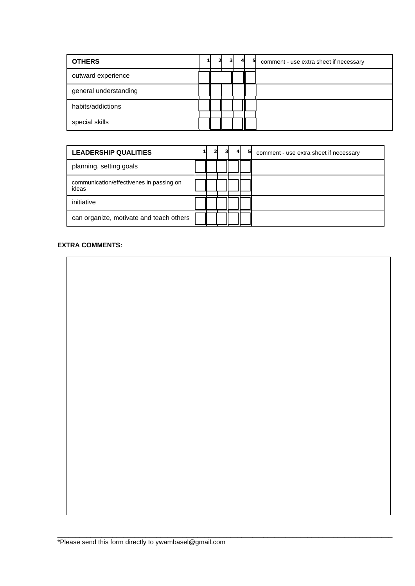| <b>OTHERS</b>         | וכ | 31 | 5 | comment - use extra sheet if necessary |
|-----------------------|----|----|---|----------------------------------------|
| outward experience    |    |    |   |                                        |
| general understanding |    |    |   |                                        |
| habits/addictions     |    |    |   |                                        |
| special skills        |    |    |   |                                        |

| <b>LEADERSHIP QUALITIES</b>                       |  |  | 51 | comment - use extra sheet if necessary |
|---------------------------------------------------|--|--|----|----------------------------------------|
| planning, setting goals                           |  |  |    |                                        |
| communication/effectivenes in passing on<br>ideas |  |  |    |                                        |
| initiative                                        |  |  |    |                                        |
| can organize, motivate and teach others           |  |  |    |                                        |

 $\_$  ,  $\_$  ,  $\_$  ,  $\_$  ,  $\_$  ,  $\_$  ,  $\_$  ,  $\_$  ,  $\_$  ,  $\_$  ,  $\_$  ,  $\_$  ,  $\_$  ,  $\_$  ,  $\_$  ,  $\_$  ,  $\_$  ,  $\_$  ,  $\_$  ,  $\_$  ,  $\_$  ,  $\_$  ,  $\_$  ,  $\_$  ,  $\_$  ,  $\_$  ,  $\_$  ,  $\_$  ,  $\_$  ,  $\_$  ,  $\_$  ,  $\_$  ,  $\_$  ,  $\_$  ,  $\_$  ,  $\_$  ,  $\_$  ,

#### **EXTRA COMMENTS:**